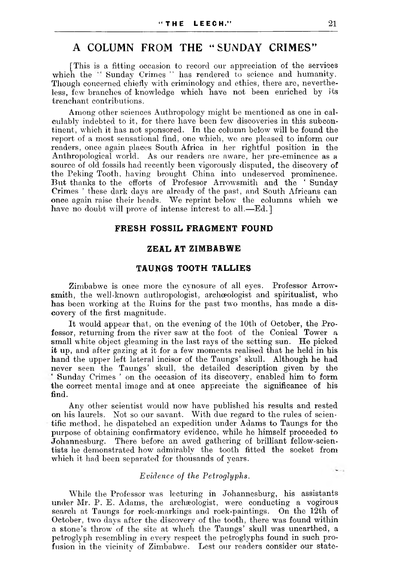# A COLUMN FROM THE '' SUNDAY CRIMES"

[This is a fitting occasion to record our appreciation of the services which the " Sunday Crimes " has rendered to science and humanity. Though concerned chiefly with criminology and ethics, there are, nevertheless, few branches of knowledge which have not been enriched by its trenchant contributions.

Among other sciences Authropology might be mentioned as one in calculably indebted to it, for there have been few discoveries in this subcontinent, which it has not sponsored. In the column below will be found the report of a most sensational find, one which, we are pleased to inform our readers, once again places South Africa in her rightful position in the Anthropological world. As our readers are aware, her pre-eminence as a source of old fossils had recently been vigorously disputed, the discovery of the Peking Tooth, having brought China into undeserved prominence. But thanks to the efforts of Professor Arrowsmith and the ' Sunday Crimes ' these dark days are already of the past, and South Africans can once again raise their heads. We reprint below the columns which we have no doubt will prove of intense interest to all.—Ed.]

## **FRESH FOSSIL FRAGMENT FOUND**

#### **ZEAL AT ZIM BA BW E**

### **TAUNGS TOOTH TALLIES**

Zimbabwe is once more the cynosure of all eyes. Professor Arrowsmith, the well-known authropologist, archaeologist and spiritualist, who has been working at the Ruins for the past two months, has made a discovery of the first magnitude.

It would appear that, on the evening of the 10th of October, the Professor, returning from the river saw at the foot of the Conical Tower a small white object gleaming in the last rays of the setting sun. He picked it up, and after gazing at it for a few moments realised that he held in his hand the upper left lateral incisor of the Taungs' skull. Although he had never seen the Taungs' skull, the detailed description given by the Sunday Crimes ' on the occasion of its discovery, enabled him to form the correct mental image and at once appreciate the significance of his find.

Any other scientist would now have published his results and rested on his laurels. Not so our savant. With due regard to the rules of scientific method, he dispatched an expedition under Adams to Taungs for the purpose of obtaining confirmatory evidence, while he himself proceeded to Johannesburg. There before an awed gathering of brilliant fellow-scientists he demonstrated how admirably the tooth fitted the socket from which it had been separated for thousands of years.

#### *Evidence of the Petroglyplis.*

While the Professor was lecturing in Johannesburg, his assistants under Mr. P. E. Adams, the archæologist, were conducting a vogirous search at Taungs for rock-markings and rock-paintings. On the 12th of October, two days after the discovery of the tooth, there was found within a stone's throw of the site at which the Taungs' skull was unearthed, a petroglyph resembling in every respect the petroglyphs found in such profusion in the vicinity of Zimbabwe. Lest our readers consider our state